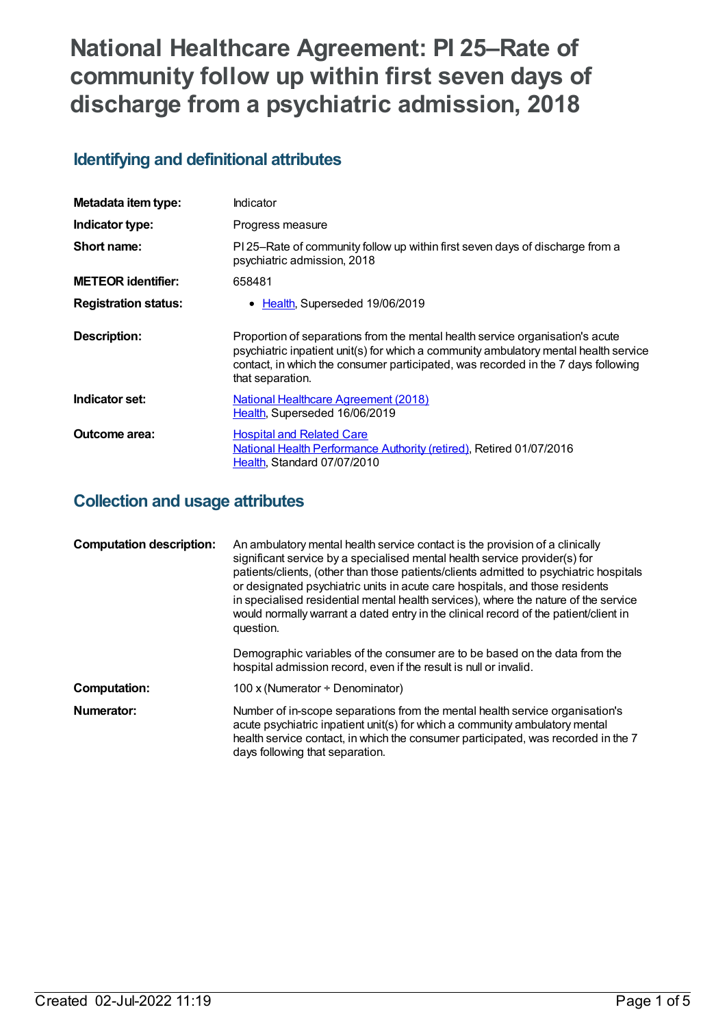# **National Healthcare Agreement: PI 25–Rate of community follow up within first seven days of discharge from a psychiatric admission, 2018**

## **Identifying and definitional attributes**

| Metadata item type:         | Indicator                                                                                                                                                                                                                                                                      |
|-----------------------------|--------------------------------------------------------------------------------------------------------------------------------------------------------------------------------------------------------------------------------------------------------------------------------|
| Indicator type:             | Progress measure                                                                                                                                                                                                                                                               |
| Short name:                 | PI 25–Rate of community follow up within first seven days of discharge from a<br>psychiatric admission, 2018                                                                                                                                                                   |
| <b>METEOR identifier:</b>   | 658481                                                                                                                                                                                                                                                                         |
| <b>Registration status:</b> | • Health, Superseded 19/06/2019                                                                                                                                                                                                                                                |
| <b>Description:</b>         | Proportion of separations from the mental health service organisation's acute<br>psychiatric inpatient unit(s) for which a community ambulatory mental health service<br>contact, in which the consumer participated, was recorded in the 7 days following<br>that separation. |
| Indicator set:              | <b>National Healthcare Agreement (2018)</b><br>Health, Superseded 16/06/2019                                                                                                                                                                                                   |
| <b>Outcome area:</b>        | <b>Hospital and Related Care</b><br>National Health Performance Authority (retired), Retired 01/07/2016<br>Health, Standard 07/07/2010                                                                                                                                         |

## **Collection and usage attributes**

| <b>Computation description:</b> | An ambulatory mental health service contact is the provision of a clinically<br>significant service by a specialised mental health service provider(s) for<br>patients/clients, (other than those patients/clients admitted to psychiatric hospitals<br>or designated psychiatric units in acute care hospitals, and those residents<br>in specialised residential mental health services), where the nature of the service<br>would normally warrant a dated entry in the clinical record of the patient/client in<br>question. |
|---------------------------------|----------------------------------------------------------------------------------------------------------------------------------------------------------------------------------------------------------------------------------------------------------------------------------------------------------------------------------------------------------------------------------------------------------------------------------------------------------------------------------------------------------------------------------|
|                                 | Demographic variables of the consumer are to be based on the data from the<br>hospital admission record, even if the result is null or invalid.                                                                                                                                                                                                                                                                                                                                                                                  |
| <b>Computation:</b>             | 100 x (Numerator $\div$ Denominator)                                                                                                                                                                                                                                                                                                                                                                                                                                                                                             |
| Numerator:                      | Number of in-scope separations from the mental health service organisation's<br>acute psychiatric inpatient unit(s) for which a community ambulatory mental<br>health service contact, in which the consumer participated, was recorded in the 7<br>days following that separation.                                                                                                                                                                                                                                              |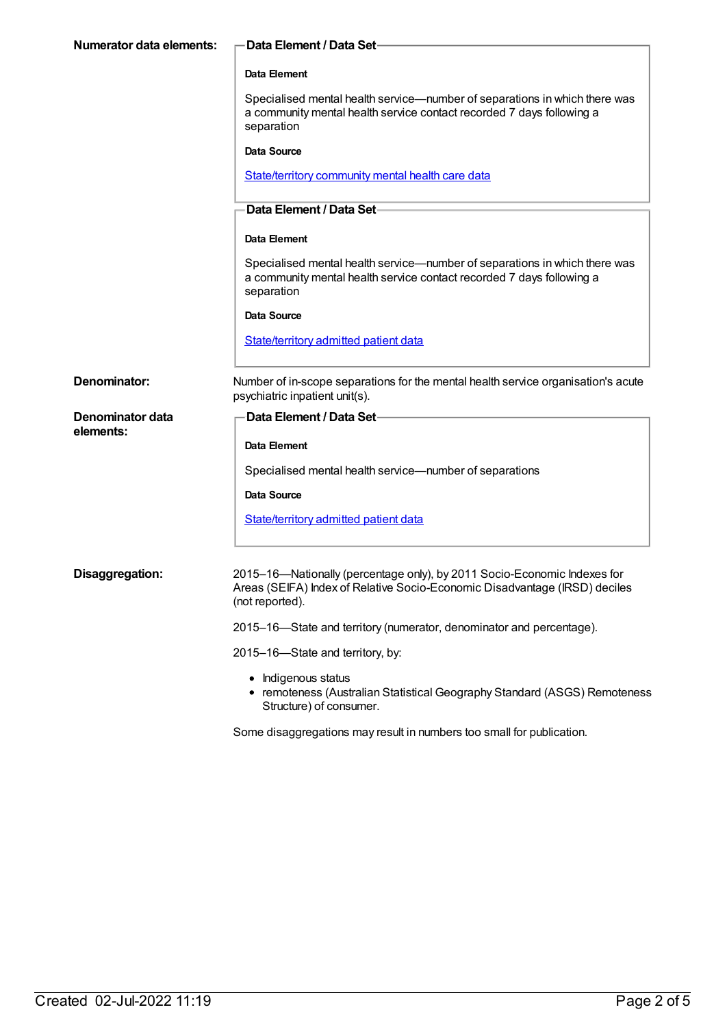| <b>Numerator data elements:</b> | Data Element / Data Set-                                                                                                                                                  |
|---------------------------------|---------------------------------------------------------------------------------------------------------------------------------------------------------------------------|
|                                 | Data Element                                                                                                                                                              |
|                                 | Specialised mental health service—number of separations in which there was<br>a community mental health service contact recorded 7 days following a<br>separation         |
|                                 | <b>Data Source</b>                                                                                                                                                        |
|                                 | State/territory community mental health care data                                                                                                                         |
|                                 | Data Element / Data Set-                                                                                                                                                  |
|                                 | Data Element                                                                                                                                                              |
|                                 | Specialised mental health service—number of separations in which there was<br>a community mental health service contact recorded 7 days following a<br>separation         |
|                                 | <b>Data Source</b>                                                                                                                                                        |
|                                 | <b>State/territory admitted patient data</b>                                                                                                                              |
| Denominator:                    | Number of in-scope separations for the mental health service organisation's acute<br>psychiatric inpatient unit(s).                                                       |
| Denominator data                | <b>Data Element / Data Set-</b>                                                                                                                                           |
| elements:                       | Data Element                                                                                                                                                              |
|                                 | Specialised mental health service-number of separations                                                                                                                   |
|                                 | <b>Data Source</b>                                                                                                                                                        |
|                                 | <b>State/territory admitted patient data</b>                                                                                                                              |
|                                 |                                                                                                                                                                           |
| Disaggregation:                 | 2015-16-Nationally (percentage only), by 2011 Socio-Economic Indexes for<br>Areas (SEIFA) Index of Relative Socio-Economic Disadvantage (IRSD) deciles<br>(not reported). |
|                                 | 2015-16-State and territory (numerator, denominator and percentage).                                                                                                      |
|                                 | 2015-16-State and territory, by:                                                                                                                                          |
|                                 | Indigenous status<br>• remoteness (Australian Statistical Geography Standard (ASGS) Remoteness<br>Structure) of consumer.                                                 |

Some disaggregations may result in numbers too small for publication.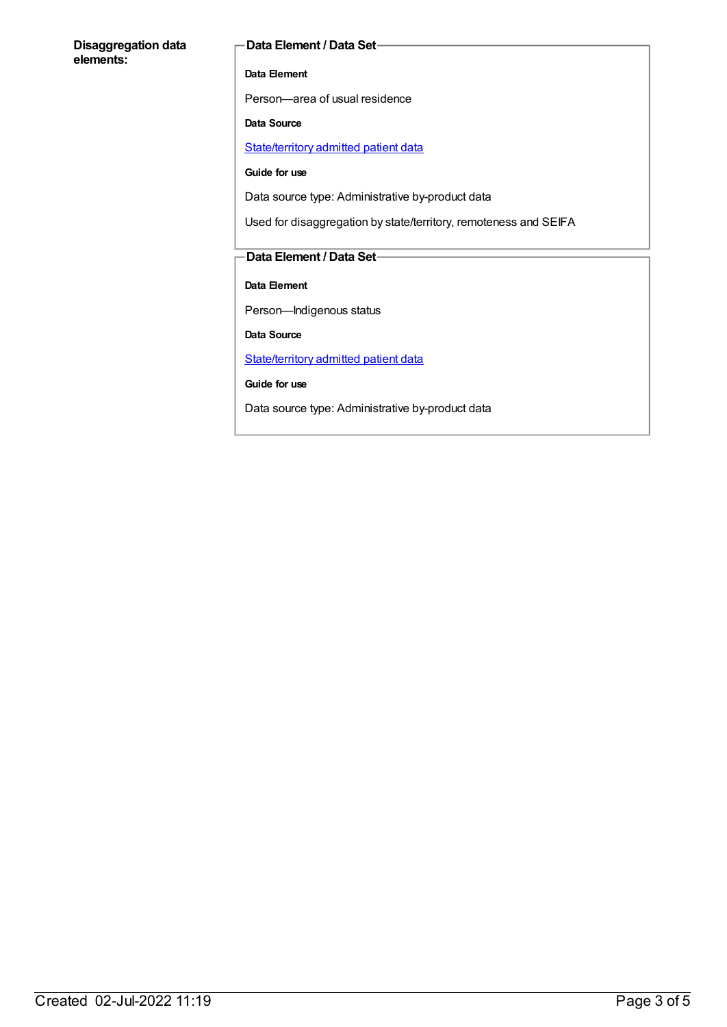#### **Disaggregation data elements:**

#### **Data Element / Data Set**

#### **Data Element**

Person—area of usual residence

#### **Data Source**

[State/territory](https://meteor.aihw.gov.au/content/426458) admitted patient data

#### **Guide for use**

Data source type: Administrative by-product data

Used for disaggregation by state/territory, remoteness and SEIFA

#### **Data Element / Data Set**

**Data Element**

Person—Indigenous status

**Data Source**

[State/territory](https://meteor.aihw.gov.au/content/426458) admitted patient data

**Guide for use**

Data source type: Administrative by-product data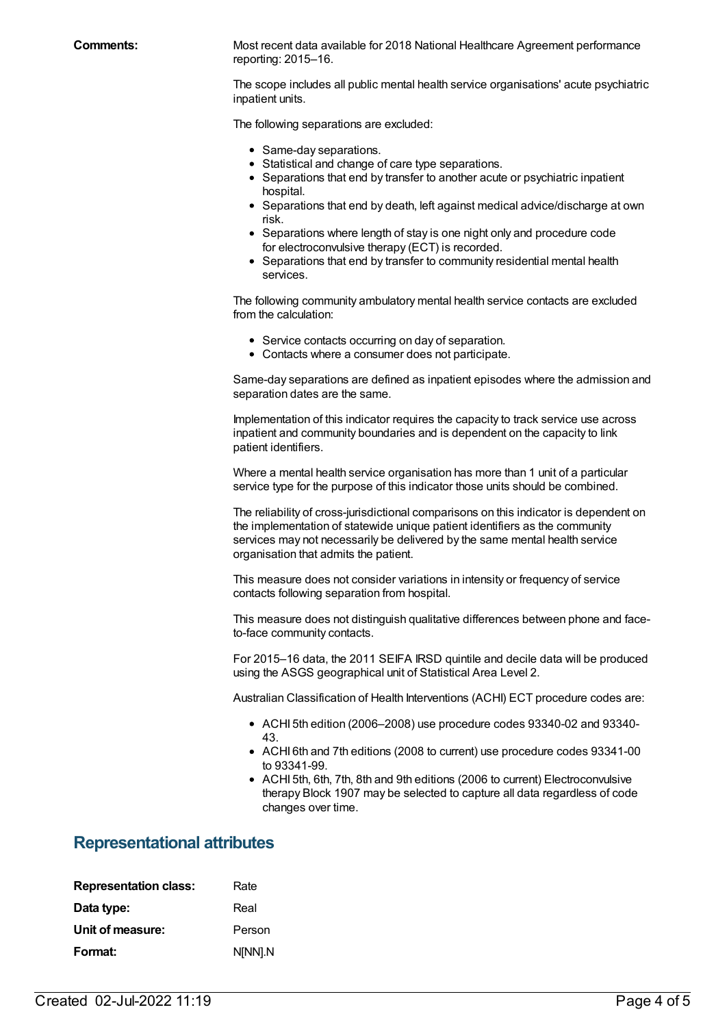**Comments:** Most recent data available for 2018 National Healthcare Agreement performance reporting: 2015–16.

> The scope includes all public mental health service organisations' acute psychiatric inpatient units.

The following separations are excluded:

- Same-day separations.
- Statistical and change of care type separations.
- Separations that end by transfer to another acute or psychiatric inpatient hospital.
- Separations that end by death, left against medical advice/discharge at own risk.
- Separations where length of stay is one night only and procedure code for electroconvulsive therapy (ECT) is recorded.
- Separations that end by transfer to community residential mental health services.

The following community ambulatory mental health service contacts are excluded from the calculation:

- Service contacts occurring on day of separation.
- Contacts where a consumer does not participate.

Same-day separations are defined as inpatient episodes where the admission and separation dates are the same.

Implementation of this indicator requires the capacity to track service use across inpatient and community boundaries and is dependent on the capacity to link patient identifiers.

Where a mental health service organisation has more than 1 unit of a particular service type for the purpose of this indicator those units should be combined.

The reliability of cross-jurisdictional comparisons on this indicator is dependent on the implementation of statewide unique patient identifiers as the community services may not necessarily be delivered by the same mental health service organisation that admits the patient.

This measure does not consider variations in intensity or frequency of service contacts following separation from hospital.

This measure does not distinguish qualitative differences between phone and faceto-face community contacts.

For 2015–16 data, the 2011 SEIFA IRSD quintile and decile data will be produced using the ASGS geographical unit of Statistical Area Level 2.

Australian Classification of Health Interventions (ACHI) ECT procedure codes are:

- ACHI 5th edition (2006–2008) use procedure codes 93340-02 and 93340- 43.
- ACHI 6th and 7th editions (2008 to current) use procedure codes 93341-00 to 93341-99.
- ACHI 5th, 6th, 7th, 8th and 9th editions (2006 to current) Electroconvulsive therapy Block 1907 may be selected to capture all data regardless of code changes over time.

#### **Representational attributes**

| <b>Representation class:</b> | Rate    |
|------------------------------|---------|
| Data type:                   | Real    |
| Unit of measure:             | Person  |
| Format:                      | N[NN].N |